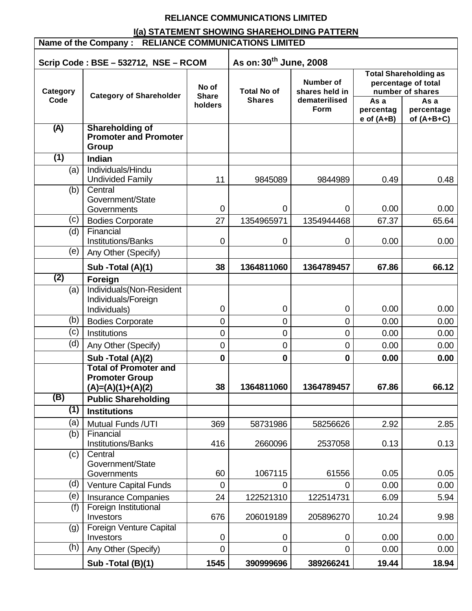# **RELIANCE COMMUNICATIONS LIMITED**

# **I(a) STATEMENT SHOWING SHAREHOLDING PATTERN**

| Name of the Company : RELIANCE COMMUNICATIONS LIMITED                      |                                                                 |                                  |                                     |                                                             |                                     |                                                                                                               |
|----------------------------------------------------------------------------|-----------------------------------------------------------------|----------------------------------|-------------------------------------|-------------------------------------------------------------|-------------------------------------|---------------------------------------------------------------------------------------------------------------|
| As on: 30 <sup>th</sup> June, 2008<br>Scrip Code: BSE - 532712, NSE - RCOM |                                                                 |                                  |                                     |                                                             |                                     |                                                                                                               |
| Category<br>Code                                                           | <b>Category of Shareholder</b>                                  | No of<br><b>Share</b><br>holders | <b>Total No of</b><br><b>Shares</b> | <b>Number of</b><br>shares held in<br>dematerilised<br>Form | As a<br>percentag<br>$e$ of $(A+B)$ | <b>Total Shareholding as</b><br>percentage of total<br>number of shares<br>As a<br>percentage<br>of $(A+B+C)$ |
| (A)                                                                        | <b>Shareholding of</b><br><b>Promoter and Promoter</b><br>Group |                                  |                                     |                                                             |                                     |                                                                                                               |
| (1)                                                                        | <b>Indian</b>                                                   |                                  |                                     |                                                             |                                     |                                                                                                               |
| (a)                                                                        | Individuals/Hindu<br><b>Undivided Family</b>                    | 11                               | 9845089                             | 9844989                                                     | 0.49                                | 0.48                                                                                                          |
| (b)                                                                        | Central<br>Government/State<br>Governments                      | $\mathbf 0$                      | 0                                   | $\Omega$                                                    | 0.00                                | 0.00                                                                                                          |
| (c)                                                                        | <b>Bodies Corporate</b>                                         | 27                               | 1354965971                          | 1354944468                                                  | 67.37                               | 65.64                                                                                                         |
| (d)                                                                        | Financial<br>Institutions/Banks                                 | 0                                | 0                                   | 0                                                           | 0.00                                | 0.00                                                                                                          |
| (e)                                                                        | Any Other (Specify)                                             |                                  |                                     |                                                             |                                     |                                                                                                               |
|                                                                            | Sub - Total (A)(1)                                              | 38                               | 1364811060                          | 1364789457                                                  | 67.86                               | 66.12                                                                                                         |
| (2)                                                                        | Foreign                                                         |                                  |                                     |                                                             |                                     |                                                                                                               |
| (a)                                                                        | Individuals(Non-Resident<br>Individuals/Foreign<br>Individuals) | 0                                | 0                                   | 0                                                           | 0.00                                | 0.00                                                                                                          |
| (b)                                                                        | <b>Bodies Corporate</b>                                         | 0                                | $\mathbf 0$                         | $\mathbf 0$                                                 | 0.00                                | 0.00                                                                                                          |
| (c)                                                                        | Institutions                                                    | 0                                | $\mathbf 0$                         | $\mathbf 0$                                                 | 0.00                                | 0.00                                                                                                          |
| (d)                                                                        | Any Other (Specify)                                             | 0                                | 0                                   | $\mathbf 0$                                                 | 0.00                                | 0.00                                                                                                          |
|                                                                            | Sub - Total (A)(2)                                              | 0                                | $\bf{0}$                            | $\mathbf 0$                                                 | 0.00                                | 0.00                                                                                                          |
|                                                                            | <b>Total of Promoter and</b>                                    |                                  |                                     |                                                             |                                     |                                                                                                               |
|                                                                            | <b>Promoter Group</b><br>$(A)=(A)(1)+(A)(2)$                    | 38                               | 1364811060                          | 1364789457                                                  | 67.86                               | 66.12                                                                                                         |
| (B)                                                                        | <b>Public Shareholding</b>                                      |                                  |                                     |                                                             |                                     |                                                                                                               |
| (1)                                                                        | <b>Institutions</b>                                             |                                  |                                     |                                                             |                                     |                                                                                                               |
| (a)                                                                        | Mutual Funds / UTI                                              | 369                              | 58731986                            | 58256626                                                    | 2.92                                | 2.85                                                                                                          |
| (b)                                                                        | Financial<br><b>Institutions/Banks</b>                          | 416                              | 2660096                             | 2537058                                                     | 0.13                                | 0.13                                                                                                          |
| (c)                                                                        | Central<br>Government/State<br>Governments                      | 60                               | 1067115                             | 61556                                                       | 0.05                                | 0.05                                                                                                          |
| (d)                                                                        | Venture Capital Funds                                           | 0                                | 0                                   | 0                                                           | 0.00                                | 0.00                                                                                                          |
| (e)                                                                        | <b>Insurance Companies</b>                                      | 24                               | 122521310                           | 122514731                                                   | 6.09                                | 5.94                                                                                                          |
| (f)                                                                        | Foreign Institutional<br>Investors                              | 676                              | 206019189                           | 205896270                                                   | 10.24                               | 9.98                                                                                                          |
| (g)                                                                        | Foreign Venture Capital<br>Investors                            | 0                                | 0                                   | 0                                                           | 0.00                                | 0.00                                                                                                          |
| (h)                                                                        | Any Other (Specify)                                             | 0                                | $\mathbf 0$                         | $\overline{0}$                                              | 0.00                                | 0.00                                                                                                          |
|                                                                            | Sub - Total (B)(1)                                              | 1545                             | 390999696                           | 389266241                                                   | 19.44                               | 18.94                                                                                                         |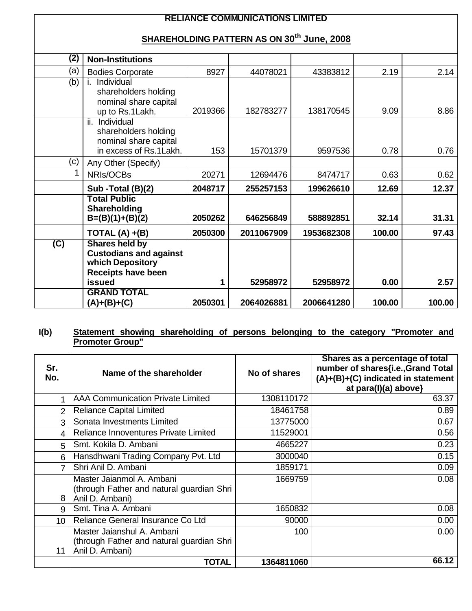## **RELIANCE COMMUNICATIONS LIMITED**

# **SHAREHOLDING PATTERN AS ON 30th June, 2008**

| (2)            | <b>Non-Institutions</b>                         |         |            |            |        |        |
|----------------|-------------------------------------------------|---------|------------|------------|--------|--------|
| (a)            | <b>Bodies Corporate</b>                         | 8927    | 44078021   | 43383812   | 2.19   | 2.14   |
| (b)            | Individual                                      |         |            |            |        |        |
|                | shareholders holding                            |         |            |            |        |        |
|                | nominal share capital                           |         |            |            |        |        |
|                | up to Rs.1Lakh.                                 | 2019366 | 182783277  | 138170545  | 9.09   | 8.86   |
|                | ii. Individual                                  |         |            |            |        |        |
|                | shareholders holding                            |         |            |            |        |        |
|                | nominal share capital<br>in excess of Rs.1Lakh. | 153     | 15701379   | 9597536    | 0.78   | 0.76   |
| (c)            | Any Other (Specify)                             |         |            |            |        |        |
|                | NRIs/OCBs                                       | 20271   | 12694476   | 8474717    | 0.63   | 0.62   |
|                |                                                 |         |            |            |        |        |
|                | Sub - Total (B)(2)                              | 2048717 | 255257153  | 199626610  | 12.69  | 12.37  |
|                | <b>Total Public</b>                             |         |            |            |        |        |
|                | Shareholding                                    | 2050262 | 646256849  | 588892851  | 32.14  | 31.31  |
|                | $B=(B)(1)+(B)(2)$                               |         |            |            |        |        |
|                | TOTAL $(A) + (B)$                               | 2050300 | 2011067909 | 1953682308 | 100.00 | 97.43  |
| $\overline{C}$ | <b>Shares held by</b>                           |         |            |            |        |        |
|                | <b>Custodians and against</b>                   |         |            |            |        |        |
|                | which Depository                                |         |            |            |        |        |
|                | <b>Receipts have been</b><br>issued             |         | 52958972   | 52958972   | 0.00   | 2.57   |
|                | <b>GRAND TOTAL</b>                              |         |            |            |        |        |
|                | $(A)+(B)+(C)$                                   | 2050301 | 2064026881 | 2006641280 | 100.00 | 100.00 |
|                |                                                 |         |            |            |        |        |

#### **I(b) Statement showing shareholding of persons belonging to the category "Promoter and Promoter Group"**

| Sr.<br>No.      | Name of the shareholder                                                                    | No of shares | Shares as a percentage of total<br>number of shares{i.e., Grand Total<br>(A)+(B)+(C) indicated in statement<br>at para(I)(a) above} |
|-----------------|--------------------------------------------------------------------------------------------|--------------|-------------------------------------------------------------------------------------------------------------------------------------|
|                 | <b>AAA Communication Private Limited</b>                                                   | 1308110172   | 63.37                                                                                                                               |
| $\overline{2}$  | <b>Reliance Capital Limited</b>                                                            | 18461758     | 0.89                                                                                                                                |
| 3               | Sonata Investments Limited                                                                 | 13775000     | 0.67                                                                                                                                |
| 4               | Reliance Innoventures Private Limited                                                      | 11529001     | 0.56                                                                                                                                |
| 5               | Smt. Kokila D. Ambani                                                                      | 4665227      | 0.23                                                                                                                                |
| 6               | Hansdhwani Trading Company Pvt. Ltd                                                        | 3000040      | 0.15                                                                                                                                |
| 7               | Shri Anil D. Ambani                                                                        | 1859171      | 0.09                                                                                                                                |
| 8               | Master Jaianmol A. Ambani<br>(through Father and natural guardian Shri<br>Anil D. Ambani)  | 1669759      | 0.08                                                                                                                                |
| 9               | Smt. Tina A. Ambani                                                                        | 1650832      | 0.08                                                                                                                                |
| 10 <sup>°</sup> | Reliance General Insurance Co Ltd                                                          | 90000        | 0.00                                                                                                                                |
| 11              | Master Jaianshul A. Ambani<br>(through Father and natural guardian Shri<br>Anil D. Ambani) | 100          | 0.00                                                                                                                                |
|                 | <b>TOTAL</b>                                                                               | 1364811060   | 66.12                                                                                                                               |